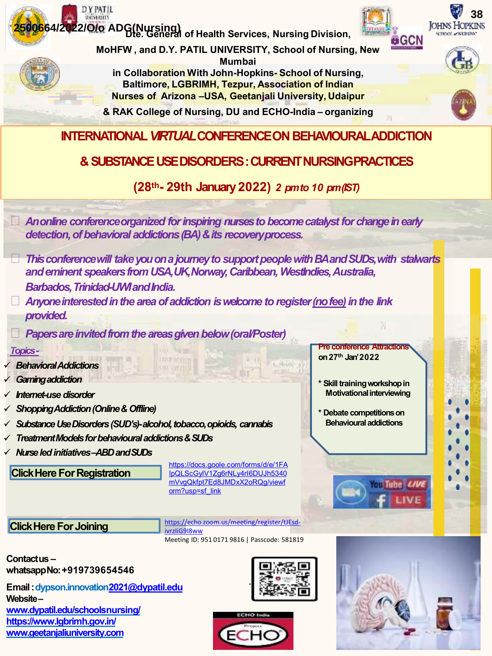

**Website – [www.dypatil.edu/schoolsnursing/](http://www.dypatil.edu/schools nursing/)  [https://www.lgbrimh.gov.in/](http://www.geetanjaliuniversity.com/) [www.geetanjaliuniversity.com](http://www.geetanjaliuniversity.com/)**



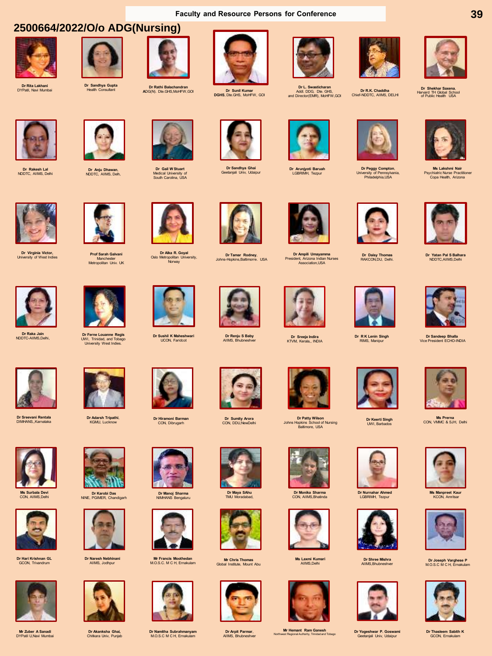## **2500664/2022/O/o ADG(Nursing)**



**Dr Rita Lakhani** DYPatil, Navi Mumbai



**Dr Sandhya Gupta** Health Consultant







**Dr Sunil Kumar DGHS**, Dte.GHS, MoHFW, GOI



**Dr L. Swasticharan** Addl. DDG, Dte. GHS, and Director(EMR), MoHFW,GOI

**Dr R.K. Chaddha** Chief-NDDTC, AIIMS, DELHI



**39**

**Dr Shekhar Saxena**, Harvard TH Global School of Public Health USA



**Dr Rakesh Lal** NDDTC, AIIMS, Delhi

**Dr Virginia Victor,** University of West Indies





**Dr Gail W Stuart** Medical University of South Carolina, USA



**Dr Sandhya Ghai** Geetanjali Univ, Udaipur



**Dr Arunjyoti Baruah** LGBRIMH, Tezpur

**Dr Ampili Umayamma** President, Arizona Indian Nurses Association,USA





**Ms Lakshmi Nair**  Psychiatric Nurse Practitioner Copa Health, Arizona



**Dr Yatan Pal S Balhara** NDDTC,AIIMS,Delhi



**Dr Sandeep Bhalla** Vice President ECHO-INDIA







**Ms Prerna** CON, VMMC & SJH, Delhi



**Ms Manpreet Kaur** KCON, Amritsar



**Dr Joseph Varghese P** M.O.S.C M C H, Ernakulam



**Dr Thasleem Sabith K** GCON, Ernakulam



**Prof Sarah Galvani**  Manchester Metropolitan Univ. UK



**Dr Raka Jain** NDDTC-AIIMS,Delhi,



**Dr Sreevani Rentala** DIMHANS,,Karnataka



**Dr Ferne Louanne Regis**  UWI, Trinidad, and Tobago University West Indies.

**Dr Adarsh Tripathi**, KGMU, Lucknow



**Ms Surbala Devi**  CON, AIIMS,Delhi



**Dr Hari Krishnan GL** GCON, Trivandrum



**Mr Zuber A Sanadi** DYPatil U,Navi Mumbai



**Dr Karobi Das** NINE, PGIMER, Chandigarh



**Dr Naresh Nebhinani** AIIMS, Jodhpur



**Dr Akanksha Ghai,**  Chitkara Univ, Punjab



**Dr Hiramoni Barman** CON, Dibrugarh

**Dr Manoj Sharma** NIMHANS Bengaluru

**Mr Francis Moothedan** M.O.S.C. M C H, Ernakulam

**Dr Namitha Subrahmanyam**  M.O.S.C M C H, Ernakulam

**Dr Sushil K Maheshwari**  UCON, Faridcot

**Dr Alka R. Goyal**<br>Oslo Metropolitan University,<br>Norway





**Dr Renju S Baby** AIIMS, Bhubneshver

**Dr Tamar Rodney**, Johns-Hopkins,Baltimorre. USA

**Dr Sumity Arora** CON, DDU,NewDelhi

**Dr Maya SAhu** TMU Moradabad,

**Mr Chris Thomas**  Global Institute, Mount Abu

**Dr Arpit Parmar**, AIIMS, Bhubneshver





**Dr Monika Sharma** CON, AIIMS,Bhatinda



**Ms Laxmi Kumari** AIIMS,Delhi



**Mr Hemant Ram Ganesh**<br>Northwest Regional Authority, Trinidad and Tobago





**Dr Yogeshwar P. Goswami**  Geetanjali Univ, Udaipur







**Dr Shree Mishra** AIIMS,Bhubneshver



















**Dr R K Lenin Singh** RIMS, Manipur

**Dr Daisy Thomas** RAKCON,DU, Delhi.



**Dr Keerti Singh** UWI, Barbados